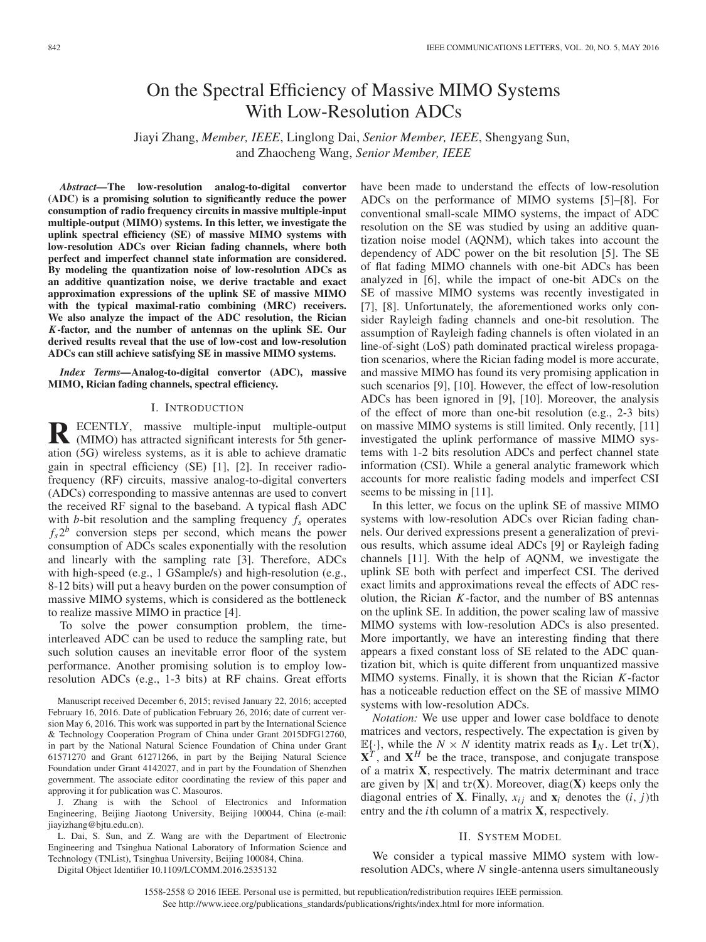# On the Spectral Efficiency of Massive MIMO Systems With Low-Resolution ADCs

Jiayi Zhang, *Member, IEEE*, Linglong Dai, *Senior Member, IEEE*, Shengyang Sun, and Zhaocheng Wang, *Senior Member, IEEE*

*Abstract—***The low-resolution analog-to-digital convertor (ADC) is a promising solution to significantly reduce the power consumption of radio frequency circuits in massive multiple-input multiple-output (MIMO) systems. In this letter, we investigate the uplink spectral efficiency (SE) of massive MIMO systems with low-resolution ADCs over Rician fading channels, where both perfect and imperfect channel state information are considered. By modeling the quantization noise of low-resolution ADCs as an additive quantization noise, we derive tractable and exact approximation expressions of the uplink SE of massive MIMO with the typical maximal-ratio combining (MRC) receivers. We also analyze the impact of the ADC resolution, the Rician** *K***-factor, and the number of antennas on the uplink SE. Our derived results reveal that the use of low-cost and low-resolution ADCs can still achieve satisfying SE in massive MIMO systems.**

*Index Terms—***Analog-to-digital convertor (ADC), massive MIMO, Rician fading channels, spectral efficiency.**

### I. INTRODUCTION

**R** ECENTLY, massive multiple-input multiple-output (MIMO) has attracted significant interests for 5th generation (5G) wireless systems, as it is able to achieve dramatic gain in spectral efficiency (SE) [1], [2]. In receiver radiofrequency (RF) circuits, massive analog-to-digital converters (ADCs) corresponding to massive antennas are used to convert the received RF signal to the baseband. A typical flash ADC with *b*-bit resolution and the sampling frequency  $f_s$  operates  $f_s 2^b$  conversion steps per second, which means the power consumption of ADCs scales exponentially with the resolution and linearly with the sampling rate [3]. Therefore, ADCs with high-speed (e.g., 1 GSample/s) and high-resolution (e.g., 8-12 bits) will put a heavy burden on the power consumption of massive MIMO systems, which is considered as the bottleneck to realize massive MIMO in practice [4].

To solve the power consumption problem, the timeinterleaved ADC can be used to reduce the sampling rate, but such solution causes an inevitable error floor of the system performance. Another promising solution is to employ lowresolution ADCs (e.g., 1-3 bits) at RF chains. Great efforts

Manuscript received December 6, 2015; revised January 22, 2016; accepted February 16, 2016. Date of publication February 26, 2016; date of current version May 6, 2016. This work was supported in part by the International Science & Technology Cooperation Program of China under Grant 2015DFG12760, in part by the National Natural Science Foundation of China under Grant 61571270 and Grant 61271266, in part by the Beijing Natural Science Foundation under Grant 4142027, and in part by the Foundation of Shenzhen government. The associate editor coordinating the review of this paper and approving it for publication was C. Masouros.

J. Zhang is with the School of Electronics and Information Engineering, Beijing Jiaotong University, Beijing 100044, China (e-mail: jiayizhang@bjtu.edu.cn).

L. Dai, S. Sun, and Z. Wang are with the Department of Electronic Engineering and Tsinghua National Laboratory of Information Science and Technology (TNList), Tsinghua University, Beijing 100084, China.

Digital Object Identifier 10.1109/LCOMM.2016.2535132

have been made to understand the effects of low-resolution ADCs on the performance of MIMO systems [5]–[8]. For conventional small-scale MIMO systems, the impact of ADC resolution on the SE was studied by using an additive quantization noise model (AQNM), which takes into account the dependency of ADC power on the bit resolution [5]. The SE of flat fading MIMO channels with one-bit ADCs has been analyzed in [6], while the impact of one-bit ADCs on the SE of massive MIMO systems was recently investigated in [7], [8]. Unfortunately, the aforementioned works only consider Rayleigh fading channels and one-bit resolution. The assumption of Rayleigh fading channels is often violated in an line-of-sight (LoS) path dominated practical wireless propagation scenarios, where the Rician fading model is more accurate, and massive MIMO has found its very promising application in such scenarios [9], [10]. However, the effect of low-resolution ADCs has been ignored in [9], [10]. Moreover, the analysis of the effect of more than one-bit resolution (e.g., 2-3 bits) on massive MIMO systems is still limited. Only recently, [11] investigated the uplink performance of massive MIMO systems with 1-2 bits resolution ADCs and perfect channel state information (CSI). While a general analytic framework which accounts for more realistic fading models and imperfect CSI seems to be missing in [11].

In this letter, we focus on the uplink SE of massive MIMO systems with low-resolution ADCs over Rician fading channels. Our derived expressions present a generalization of previous results, which assume ideal ADCs [9] or Rayleigh fading channels [11]. With the help of AQNM, we investigate the uplink SE both with perfect and imperfect CSI. The derived exact limits and approximations reveal the effects of ADC resolution, the Rician *K*-factor, and the number of BS antennas on the uplink SE. In addition, the power scaling law of massive MIMO systems with low-resolution ADCs is also presented. More importantly, we have an interesting finding that there appears a fixed constant loss of SE related to the ADC quantization bit, which is quite different from unquantized massive MIMO systems. Finally, it is shown that the Rician *K*-factor has a noticeable reduction effect on the SE of massive MIMO systems with low-resolution ADCs.

*Notation:* We use upper and lower case boldface to denote matrices and vectors, respectively. The expectation is given by  $\mathbb{E}\{\cdot\}$ , while the  $N \times N$  identity matrix reads as  $\mathbf{I}_N$ . Let tr(**X**),  $X^T$ , and  $X^H$  be the trace, transpose, and conjugate transpose of a matrix **X**, respectively. The matrix determinant and trace are given by  $|X|$  and  $tr(X)$ . Moreover, diag(X) keeps only the diagonal entries of **X**. Finally,  $x_{ij}$  and  $\mathbf{x}_i$  denotes the  $(i, j)$ th entry and the *i*th column of a matrix **X**, respectively.

## II. SYSTEM MODEL

We consider a typical massive MIMO system with lowresolution ADCs, where *N* single-antenna users simultaneously

1558-2558 © 2016 IEEE. Personal use is permitted, but republication/redistribution requires IEEE permission. See http://www.ieee.org/publications\_standards/publications/rights/index.html for more information.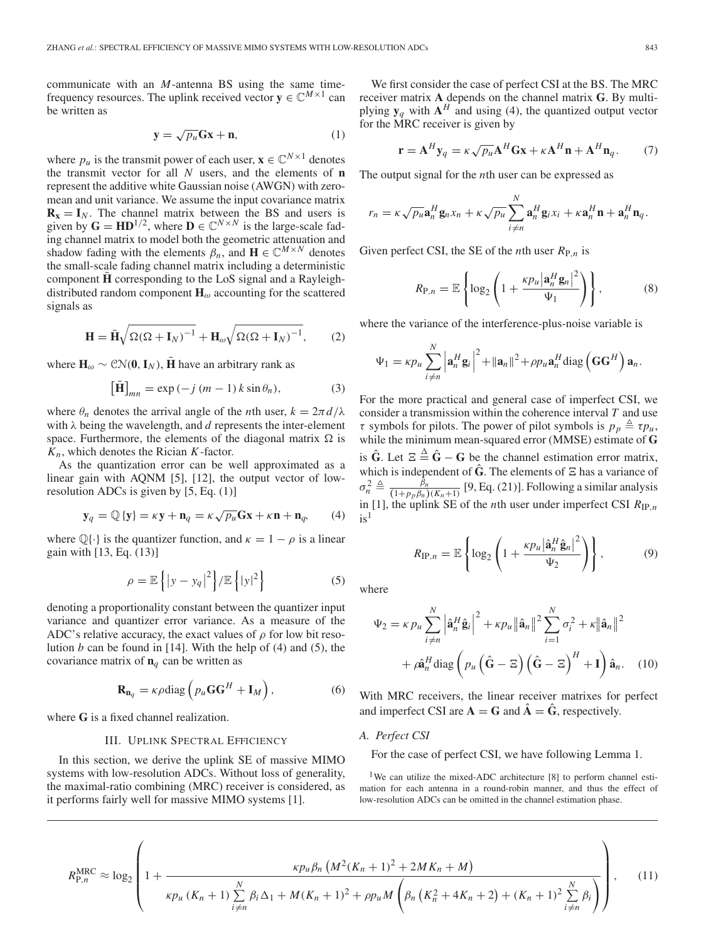communicate with an *M*-antenna BS using the same timefrequency resources. The uplink received vector  $y \in \mathbb{C}^{M \times 1}$  can be written as

$$
\mathbf{y} = \sqrt{p_u} \mathbf{Gx} + \mathbf{n},\tag{1}
$$

where  $p_u$  is the transmit power of each user,  $\mathbf{x} \in \mathbb{C}^{N \times 1}$  denotes the transmit vector for all *N* users, and the elements of **n** represent the additive white Gaussian noise (AWGN) with zeromean and unit variance. We assume the input covariance matrix  $\mathbf{R}_{\mathbf{x}} = \mathbf{I}_N$ . The channel matrix between the BS and users is given by  $\mathbf{G} = \mathbf{H} \mathbf{D}^{1/2}$ , where  $\mathbf{D} \in \mathbb{C}^{N \times N}$  is the large-scale fading channel matrix to model both the geometric attenuation and shadow fading with the elements  $\beta_n$ , and  $\mathbf{H} \in \mathbb{C}^{M \times N}$  denotes the small-scale fading channel matrix including a deterministic component **H** corresponding to the LoS signal and a Rayleighdistributed random component  $H_{\omega}$  accounting for the scattered signals as

$$
\mathbf{H} = \bar{\mathbf{H}} \sqrt{\Omega (\Omega + \mathbf{I}_N)^{-1}} + \mathbf{H}_{\omega} \sqrt{\Omega (\Omega + \mathbf{I}_N)^{-1}}, \qquad (2)
$$

where  $H_{\omega} \sim \mathcal{CN}(\mathbf{0}, \mathbf{I}_N)$ , **H** have an arbitrary rank as

$$
\left[\bar{\mathbf{H}}\right]_{mn} = \exp\left(-j\left(m-1\right)k\sin\theta_n\right),\tag{3}
$$

where  $\theta_n$  denotes the arrival angle of the *n*th user,  $k = 2\pi d/\lambda$ with λ being the wavelength, and *d* represents the inter-element space. Furthermore, the elements of the diagonal matrix  $\Omega$  is *Kn*, which denotes the Rician *K*-factor.

As the quantization error can be well approximated as a linear gain with AQNM [5], [12], the output vector of lowresolution ADCs is given by [5, Eq. (1)]

$$
\mathbf{y}_q = \mathbb{Q}\{\mathbf{y}\} = \kappa \mathbf{y} + \mathbf{n}_q = \kappa \sqrt{p_u} \mathbf{G} \mathbf{x} + \kappa \mathbf{n} + \mathbf{n}_q, \qquad (4)
$$

where  $\mathbb{Q}\{\cdot\}$  is the quantizer function, and  $\kappa = 1 - \rho$  is a linear gain with [13, Eq. (13)]

$$
\rho = \mathbb{E}\left\{ |y - y_q|^2 \right\} / \mathbb{E}\left\{ |y|^2 \right\} \tag{5}
$$

denoting a proportionality constant between the quantizer input variance and quantizer error variance. As a measure of the ADC's relative accuracy, the exact values of  $\rho$  for low bit resolution *b* can be found in [14]. With the help of (4) and (5), the covariance matrix of  $n_q$  can be written as

$$
\mathbf{R}_{\mathbf{n}_q} = \kappa \rho \text{diag}\left(p_u \mathbf{G} \mathbf{G}^H + \mathbf{I}_M\right),\tag{6}
$$

where **G** is a fixed channel realization.

## III. UPLINK SPECTRAL EFFICIENCY

In this section, we derive the uplink SE of massive MIMO systems with low-resolution ADCs. Without loss of generality, the maximal-ratio combining (MRC) receiver is considered, as it performs fairly well for massive MIMO systems [1].

We first consider the case of perfect CSI at the BS. The MRC receiver matrix **A** depends on the channel matrix **G**. By multiplying  $y_q$  with  $A^H$  and using (4), the quantized output vector for the MRC receiver is given by

$$
\mathbf{r} = \mathbf{A}^H \mathbf{y}_q = \kappa \sqrt{p_u} \mathbf{A}^H \mathbf{G} \mathbf{x} + \kappa \mathbf{A}^H \mathbf{n} + \mathbf{A}^H \mathbf{n}_q. \tag{7}
$$

The output signal for the *n*th user can be expressed as

$$
r_n = \kappa \sqrt{p_u} \mathbf{a}_n^H \mathbf{g}_n x_n + \kappa \sqrt{p_u} \sum_{i \neq n}^N \mathbf{a}_n^H \mathbf{g}_i x_i + \kappa \mathbf{a}_n^H \mathbf{n} + \mathbf{a}_n^H \mathbf{n}_q.
$$

Given perfect CSI, the SE of the *n*th user  $R_{P,n}$  is

$$
R_{\mathrm{P},n} = \mathbb{E}\left\{\log_2\left(1 + \frac{\kappa p_u |\mathbf{a}_n^H \mathbf{g}_n|^2}{\Psi_1}\right)\right\},\tag{8}
$$

where the variance of the interference-plus-noise variable is

$$
\Psi_1 = \kappa p_u \sum_{i \neq n}^N \left| \mathbf{a}_n^H \mathbf{g}_i \right|^2 + ||\mathbf{a}_n||^2 + \rho p_u \mathbf{a}_n^H \text{diag} \left( \mathbf{G} \mathbf{G}^H \right) \mathbf{a}_n.
$$

For the more practical and general case of imperfect CSI, we consider a transmission within the coherence interval *T* and use  $\tau$  symbols for pilots. The power of pilot symbols is  $p_p \triangleq \tau p_u$ , while the minimum mean-squared error (MMSE) estimate of **G** is  $\hat{G}$ . Let  $E \triangleq \hat{G} - G$  be the channel estimation error matrix, which is independent of  $\hat{G}$ . The elements of  $\Xi$  has a variance of  $\sigma_n^2 \triangleq \frac{\tilde{\beta}_n}{(1+p_p\beta_n)(K_n+1)}$  [9, Eq. (21)]. Following a similar analysis in [1], the uplink SE of the *n*th user under imperfect CSI  $R_{IP,n}$  $is<sup>1</sup>$ 

$$
R_{\mathrm{IP},n} = \mathbb{E}\left\{\log_2\left(1 + \frac{\kappa p_u \left|\hat{\mathbf{a}}_n^H \hat{\mathbf{g}}_n\right|^2}{\Psi_2}\right)\right\},\tag{9}
$$

where

$$
\Psi_2 = \kappa p_u \sum_{i \neq n}^N \left| \hat{\mathbf{a}}_n^H \hat{\mathbf{g}}_i \right|^2 + \kappa p_u \left\| \hat{\mathbf{a}}_n \right\|^2 \sum_{i=1}^N \sigma_i^2 + \kappa \left\| \hat{\mathbf{a}}_n \right\|^2
$$

$$
+ \rho \hat{\mathbf{a}}_n^H \text{diag} \left( p_u \left( \hat{\mathbf{G}} - \Xi \right) \left( \hat{\mathbf{G}} - \Xi \right)^H + \mathbf{I} \right) \hat{\mathbf{a}}_n. \quad (10)
$$

With MRC receivers, the linear receiver matrixes for perfect and imperfect CSI are  $\mathbf{A} = \mathbf{G}$  and  $\hat{\mathbf{A}} = \hat{\mathbf{G}}$ , respectively.

## *A. Perfect CSI*

For the case of perfect CSI, we have following Lemma 1.

<sup>1</sup>We can utilize the mixed-ADC architecture [8] to perform channel estimation for each antenna in a round-robin manner, and thus the effect of low-resolution ADCs can be omitted in the channel estimation phase.

$$
R_{\text{P},n}^{\text{MRC}} \approx \log_2 \left( 1 + \frac{\kappa p_u \beta_n \left( M^2 (K_n + 1)^2 + 2M K_n + M \right)}{\kappa p_u (K_n + 1) \sum_{i \neq n}^N \beta_i \Delta_1 + M (K_n + 1)^2 + \rho p_u M \left( \beta_n \left( K_n^2 + 4K_n + 2 \right) + (K_n + 1)^2 \sum_{i \neq n}^N \beta_i \right) \right), \quad (11)
$$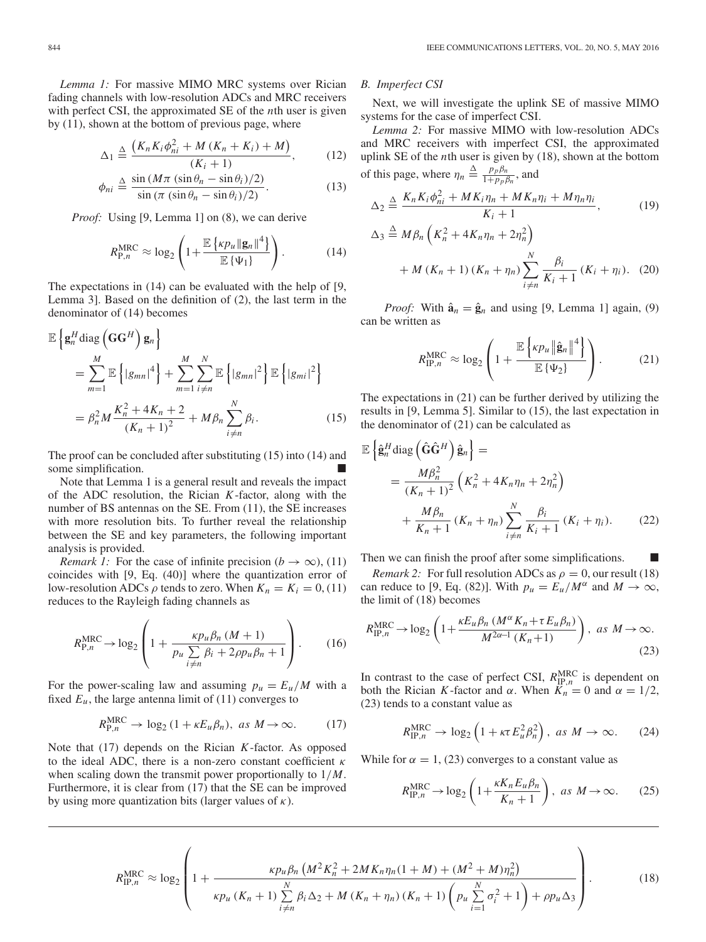*Lemma 1:* For massive MIMO MRC systems over Rician fading channels with low-resolution ADCs and MRC receivers with perfect CSI, the approximated SE of the *n*th user is given by (11), shown at the bottom of previous page, where

$$
\Delta_1 \triangleq \frac{\left(K_n K_i \phi_{ni}^2 + M\left(K_n + K_i\right) + M\right)}{\left(K_i + 1\right)},\tag{12}
$$

$$
\phi_{ni} \triangleq \frac{\sin\left(M\pi\left(\sin\theta_n - \sin\theta_i\right)/2\right)}{\sin\left(\pi\left(\sin\theta_n - \sin\theta_i\right)/2\right)}.\tag{13}
$$

*Proof:* Using [9, Lemma 1] on (8), we can derive

$$
R_{\mathrm{P},n}^{\mathrm{MRC}} \approx \log_2\left(1 + \frac{\mathbb{E}\left\{ \kappa p_u \|\mathbf{g}_n\|^4 \right\}}{\mathbb{E}\left\{ \Psi_1 \right\}}\right). \tag{14}
$$

The expectations in (14) can be evaluated with the help of [9, Lemma 3]. Based on the definition of (2), the last term in the denominator of (14) becomes

$$
\mathbb{E}\left\{\mathbf{g}_{n}^{H}\text{diag}\left(\mathbf{G}\mathbf{G}^{H}\right)\mathbf{g}_{n}\right\}
$$
\n
$$
=\sum_{m=1}^{M}\mathbb{E}\left\{|g_{mn}|^{4}\right\}+\sum_{m=1}^{M}\sum_{i\neq n}^{N}\mathbb{E}\left\{|g_{mn}|^{2}\right\}\mathbb{E}\left\{|g_{mi}|^{2}\right\}
$$
\n
$$
=\beta_{n}^{2}M\frac{K_{n}^{2}+4K_{n}+2}{(K_{n}+1)^{2}}+M\beta_{n}\sum_{i\neq n}^{N}\beta_{i}.
$$
\n(15)

The proof can be concluded after substituting (15) into (14) and some simplification.

Note that Lemma 1 is a general result and reveals the impact of the ADC resolution, the Rician *K*-factor, along with the number of BS antennas on the SE. From (11), the SE increases with more resolution bits. To further reveal the relationship between the SE and key parameters, the following important analysis is provided.

*Remark 1:* For the case of infinite precision ( $b \rightarrow \infty$ ), (11) coincides with [9, Eq. (40)] where the quantization error of low-resolution ADCs  $\rho$  tends to zero. When  $K_n = K_i = 0$ , (11) reduces to the Rayleigh fading channels as

$$
R_{\text{P},n}^{\text{MRC}} \to \log_2 \left( 1 + \frac{\kappa p_u \beta_n (M+1)}{p_u \sum\limits_{i \neq n} \beta_i + 2\rho p_u \beta_n + 1} \right). \tag{16}
$$

For the power-scaling law and assuming  $p_u = E_u/M$  with a fixed  $E_u$ , the large antenna limit of  $(11)$  converges to

$$
R_{\mathrm{P},n}^{\mathrm{MRC}} \to \log_2 \left( 1 + \kappa E_u \beta_n \right), \text{ as } M \to \infty. \tag{17}
$$

Note that (17) depends on the Rician *K*-factor. As opposed to the ideal ADC, there is a non-zero constant coefficient  $\kappa$ when scaling down the transmit power proportionally to 1/*M*. Furthermore, it is clear from (17) that the SE can be improved by using more quantization bits (larger values of  $\kappa$ ).

# *B. Imperfect CSI*

Next, we will investigate the uplink SE of massive MIMO systems for the case of imperfect CSI.

*Lemma 2:* For massive MIMO with low-resolution ADCs and MRC receivers with imperfect CSI, the approximated uplink SE of the *n*th user is given by (18), shown at the bottom of this page, where  $\eta_n \triangleq \frac{p_p \beta_n}{1 + p_p \beta_n}$ , and

$$
\Delta_2 \triangleq \frac{K_n K_i \phi_{ni}^2 + MK_i \eta_n + MK_n \eta_i + M \eta_n \eta_i}{K_i + 1},
$$
\n
$$
\Delta_3 \triangleq M \beta_n \left( K_n^2 + 4K_n \eta_n + 2\eta_n^2 \right)
$$
\n
$$
+ M (K_n + 1) (K_n + \eta_n) \sum_{i \neq n}^N \frac{\beta_i}{K_i + 1} (K_i + \eta_i). \quad (20)
$$

*Proof:* With  $\hat{\mathbf{a}}_n = \hat{\mathbf{g}}_n$  and using [9, Lemma 1] again, (9) can be written as

$$
R_{\text{IP},n}^{\text{MRC}} \approx \log_2 \left( 1 + \frac{\mathbb{E}\left\{ \kappa p_u \left\| \hat{\mathbf{g}}_n \right\|^4 \right\}}{\mathbb{E}\left\{ \Psi_2 \right\}} \right). \tag{21}
$$

The expectations in (21) can be further derived by utilizing the results in [9, Lemma 5]. Similar to (15), the last expectation in the denominator of (21) can be calculated as

$$
\mathbb{E}\left\{\hat{\mathbf{g}}_{n}^{H}\text{diag}\left(\hat{\mathbf{G}}\hat{\mathbf{G}}^{H}\right)\hat{\mathbf{g}}_{n}\right\} =
$$
\n
$$
= \frac{M\beta_{n}^{2}}{(K_{n}+1)^{2}}\left(K_{n}^{2} + 4K_{n}\eta_{n} + 2\eta_{n}^{2}\right)
$$
\n
$$
+ \frac{M\beta_{n}}{K_{n}+1}\left(K_{n}+\eta_{n}\right)\sum_{i\neq n}^{N}\frac{\beta_{i}}{K_{i}+1}\left(K_{i}+\eta_{i}\right). \tag{22}
$$

Then we can finish the proof after some simplifications.

*Remark 2:* For full resolution ADCs as  $\rho = 0$ , our result (18) can reduce to [9, Eq. (82)]. With  $p_u = E_u/M^\alpha$  and  $M \to \infty$ , the limit of (18) becomes

$$
R_{\text{IP},n}^{\text{MRC}} \to \log_2\left(1 + \frac{\kappa E_u \beta_n \left(M^\alpha K_n + \tau E_u \beta_n\right)}{M^{2\alpha - 1} \left(K_n + 1\right)}\right), \text{ as } M \to \infty. \tag{23}
$$

In contrast to the case of perfect CSI,  $R_{\text{IP},n}^{\text{MRC}}$  is dependent on both the Rician *K*-factor and  $\alpha$ . When  $\overline{K_n} = 0$  and  $\alpha = 1/2$ , (23) tends to a constant value as

$$
R_{\text{IP},n}^{\text{MRC}} \to \log_2\left(1 + \kappa \tau E_u^2 \beta_n^2\right), \text{ as } M \to \infty. \tag{24}
$$

While for  $\alpha = 1$ , (23) converges to a constant value as

$$
R_{\text{IP},n}^{\text{MRC}} \to \log_2\left(1 + \frac{\kappa K_n E_u \beta_n}{K_n + 1}\right), \text{ as } M \to \infty. \tag{25}
$$

$$
R_{\text{IP},n}^{\text{MRC}} \approx \log_2 \left( 1 + \frac{\kappa p_u \beta_n \left( M^2 K_n^2 + 2M K_n \eta_n (1 + M) + (M^2 + M) \eta_n^2 \right)}{\kappa p_u \left( K_n + 1 \right) \sum_{i \neq n}^N \beta_i \Delta_2 + M \left( K_n + \eta_n \right) \left( K_n + 1 \right) \left( p_u \sum_{i=1}^N \sigma_i^2 + 1 \right) + \rho p_u \Delta_3} \right). \tag{18}
$$